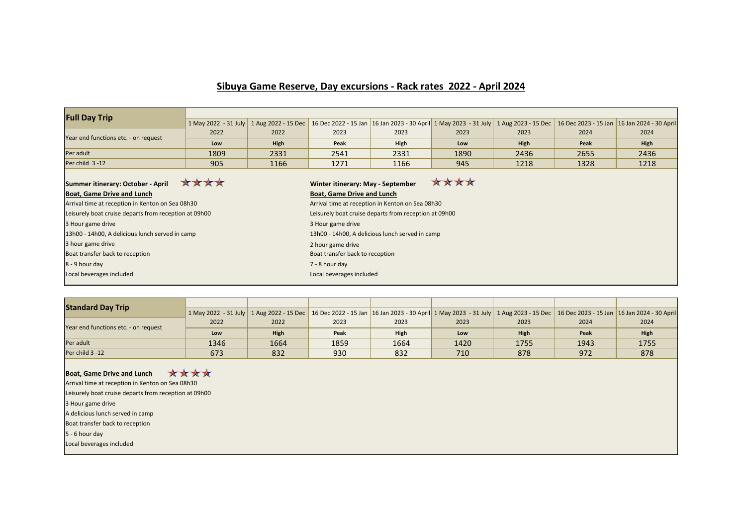## **Sibuya Game Reserve, Day excursions - Rack rates 2022 - April 2024**

| <b>Full Day Trip</b>                                  |                      |             |                                                       |                                                                                                          |      |             |      |                                             |  |  |
|-------------------------------------------------------|----------------------|-------------|-------------------------------------------------------|----------------------------------------------------------------------------------------------------------|------|-------------|------|---------------------------------------------|--|--|
|                                                       | 1 May 2022 - 31 July |             |                                                       | 1 Aug 2022 - 15 Dec 16 Dec 2022 - 15 Jan 16 Jan 2023 - 30 April 1 May 2023 - 31 July 1 Aug 2023 - 15 Dec |      |             |      | 16 Dec 2023 - 15 Jan 16 Jan 2024 - 30 April |  |  |
| Year end functions etc. - on request                  | 2022                 | 2022        | 2023                                                  | 2023                                                                                                     | 2023 | 2023        | 2024 | 2024                                        |  |  |
|                                                       | Low                  | <b>High</b> | Peak                                                  | <b>High</b>                                                                                              | Low  | <b>High</b> | Peak | High                                        |  |  |
| Per adult                                             | 1809                 | 2331        | 2541                                                  | 2331                                                                                                     | 1890 | 2436        | 2655 | 2436                                        |  |  |
| Per child 3-12                                        | 905                  | 1166        | 1271                                                  | 1166                                                                                                     | 945  | 1218        | 1328 | 1218                                        |  |  |
| ****<br>Summer itinerary: October - April             |                      |             | Winter itinerary: May - September                     |                                                                                                          | **** |             |      |                                             |  |  |
| <b>Boat, Game Drive and Lunch</b>                     |                      |             | <b>Boat, Game Drive and Lunch</b>                     |                                                                                                          |      |             |      |                                             |  |  |
| Arrival time at reception in Kenton on Sea 08h30      |                      |             | Arrival time at reception in Kenton on Sea 08h30      |                                                                                                          |      |             |      |                                             |  |  |
| Leisurely boat cruise departs from reception at 09h00 |                      |             | Leisurely boat cruise departs from reception at 09h00 |                                                                                                          |      |             |      |                                             |  |  |
| 3 Hour game drive                                     |                      |             | 3 Hour game drive                                     |                                                                                                          |      |             |      |                                             |  |  |
| 13h00 - 14h00, A delicious lunch served in camp       |                      |             | 13h00 - 14h00, A delicious lunch served in camp       |                                                                                                          |      |             |      |                                             |  |  |
| 3 hour game drive                                     |                      |             | 2 hour game drive                                     |                                                                                                          |      |             |      |                                             |  |  |
| Boat transfer back to reception                       |                      |             | Boat transfer back to reception                       |                                                                                                          |      |             |      |                                             |  |  |
| 8 - 9 hour day                                        |                      |             | 7 - 8 hour day                                        |                                                                                                          |      |             |      |                                             |  |  |
| Local beverages included                              |                      |             | Local beverages included                              |                                                                                                          |      |             |      |                                             |  |  |

| <b>Standard Day Trip</b>             |      |             |      |             |                                                                                                                                                                                         |             |      |             |
|--------------------------------------|------|-------------|------|-------------|-----------------------------------------------------------------------------------------------------------------------------------------------------------------------------------------|-------------|------|-------------|
|                                      |      |             |      |             | 1 May 2022 - 31 July   1 Aug 2022 - 15 Dec   16 Dec 2022 - 15 Jan   16 Jan 2023 - 30 April   1 May 2023 - 31 July   1 Aug 2023 - 15 Dec   16 Dec 2023 - 15 Jan   16 Jan 2024 - 30 April |             |      |             |
| Year end functions etc. - on request | 2022 | 2022        | 2023 | 2023        | 2023                                                                                                                                                                                    | 2023        | 2024 | 2024        |
|                                      | Low  | <b>High</b> | Peak | <b>High</b> | Low                                                                                                                                                                                     | <b>High</b> | Peak | <b>High</b> |
| Per adult                            | 1346 | 1664        | 1859 | 1664        | 1420                                                                                                                                                                                    | 1755        | 1943 | 1755        |
| Per child 3 -12                      | 673  | 832         | 930  | 832         | 710                                                                                                                                                                                     | 878         | 972  | 878         |

## **Boat, Game Drive and Lunch 文女女女**

Arrival time at reception in Kenton on Sea 08h30

3 Hour game drive Boat transfer back to reception A delicious lunch served in camp Local beverages included 5 - 6 hour day Leisurely boat cruise departs from reception at 09h00